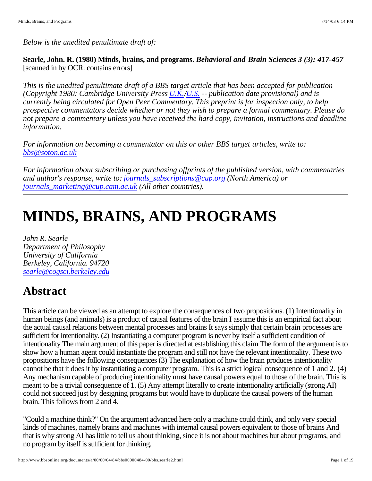*Below is the unedited penultimate draft of:*

[scanned in by OCR: contains errors] **Searle, John. R. (1980) Minds, brains, and programs.** *Behavioral and Brain Sciences 3 (3): 417-457*

*This is the unedited penultimate draft of a BBS target article that has been accepted for publication*  (Copyright 1980: Cambridge University Press **U.K./U.S.** -- publication date provisional) and is *currently being circulated for Open Peer Commentary. This preprint is for inspection only, to help prospective commentators decide whether or not they wish to prepare a formal commentary. Please do not prepare a commentary unless you have received the hard copy, invitation, instructions and deadline information.*

*For information on becoming a commentator on this or other BBS target articles, write to: bbs@soton.ac.uk*

*For information about subscribing or purchasing offprints of the published version, with commentaries*  and author's response, write to: *journals\_subscriptions@cup.org* (North America) or *<i>journals\_marketing@cup.cam.ac.uk (All other countries).* 

# **MINDS, BRAINS, AND PROGRAMS**

*John R. Searle Department of Philosophy University of California Berkeley, California. 94720 searle@cogsci.berkeley.edu*

# **Abstract**

This article can be viewed as an attempt to explore the consequences of two propositions. (1) Intentionality in human beings (and animals) is a product of causal features of the brain I assume this is an empirical fact about the actual causal relations between mental processes and brains It says simply that certain brain processes are sufficient for intentionality. (2) Instantiating a computer program is never by itself a sufficient condition of intentionality The main argument of this paper is directed at establishing this claim The form of the argument is to show how a human agent could instantiate the program and still not have the relevant intentionality. These two propositions have the following consequences (3) The explanation of how the brain produces intentionality cannot be that it does it by instantiating a computer program. This is a strict logical consequence of 1 and 2. (4) Any mechanism capable of producing intentionality must have causal powers equal to those of the brain. This is meant to be a trivial consequence of 1. (5) Any attempt literally to create intentionality artificially (strong AI) could not succeed just by designing programs but would have to duplicate the causal powers of the human brain. This follows from 2 and 4.

"Could a machine think?" On the argument advanced here only a machine could think, and only very special kinds of machines, namely brains and machines with internal causal powers equivalent to those of brains And that is why strong AI has little to tell us about thinking, since it is not about machines but about programs, and no program by itself is sufficient for thinking.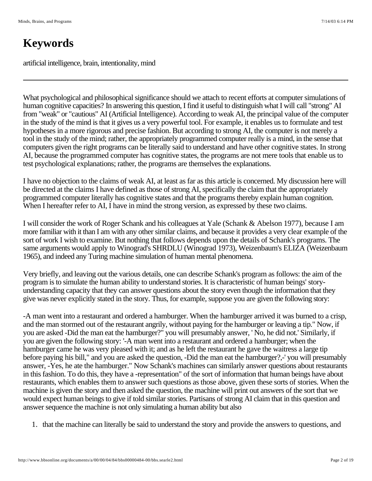### **Keywords**

artificial intelligence, brain, intentionality, mind

What psychological and philosophical significance should we attach to recent efforts at computer simulations of human cognitive capacities? In answering this question, I find it useful to distinguish what I will call "strong" AI from "weak" or "cautious" AI (Artificial Intelligence). According to weak AI, the principal value of the computer in the study of the mind is that it gives us a very powerful tool. For example, it enables us to formulate and test hypotheses in a more rigorous and precise fashion. But according to strong AI, the computer is not merely a tool in the study of the mind; rather, the appropriately programmed computer really is a mind, in the sense that computers given the right programs can be literally said to understand and have other cognitive states. In strong AI, because the programmed computer has cognitive states, the programs are not mere tools that enable us to test psychological explanations; rather, the programs are themselves the explanations.

I have no objection to the claims of weak AI, at least as far as this article is concerned. My discussion here will be directed at the claims I have defined as those of strong AI, specifically the claim that the appropriately programmed computer literally has cognitive states and that the programs thereby explain human cognition. When I hereafter refer to AI, I have in mind the strong version, as expressed by these two claims.

I will consider the work of Roger Schank and his colleagues at Yale (Schank & Abelson 1977), because I am more familiar with it than I am with any other similar claims, and because it provides a very clear example of the sort of work I wish to examine. But nothing that follows depends upon the details of Schank's programs. The same arguments would apply to Winograd's SHRDLU (Winograd 1973), Weizenbaum's ELIZA (Weizenbaum 1965), and indeed any Turing machine simulation of human mental phenomena.

Very briefly, and leaving out the various details, one can describe Schank's program as follows: the aim of the program is to simulate the human ability to understand stories. It is characteristic of human beings' storyunderstanding capacity that they can answer questions about the story even though the information that they give was never explicitly stated in the story. Thus, for example, suppose you are given the following story:

-A man went into a restaurant and ordered a hamburger. When the hamburger arrived it was burned to a crisp, and the man stormed out of the restaurant angrily, without paying for the hamburger or leaving a tip." Now, if you are asked -Did the man eat the hamburger?" you will presumably answer, ' No, he did not.' Similarly, if you are given the following story: '-A man went into a restaurant and ordered a hamburger; when the hamburger came he was very pleased with it; and as he left the restaurant he gave the waitress a large tip before paying his bill," and you are asked the question, -Did the man eat the hamburger?,-' you will presumably answer, -Yes, he ate the hamburger." Now Schank's machines can similarly answer questions about restaurants in this fashion. To do this, they have a -representation" of the sort of information that human beings have about restaurants, which enables them to answer such questions as those above, given these sorts of stories. When the machine is given the story and then asked the question, the machine will print out answers of the sort that we would expect human beings to give if told similar stories. Partisans of strong AI claim that in this question and answer sequence the machine is not only simulating a human ability but also

1. that the machine can literally be said to understand the story and provide the answers to questions, and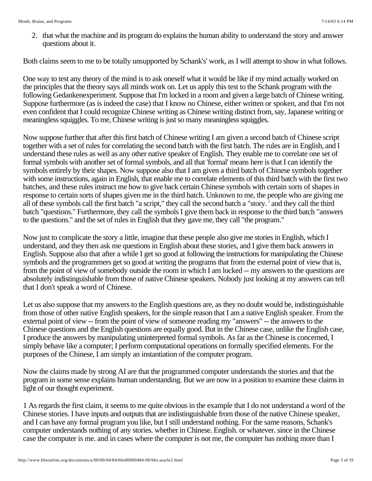2. that what the machine and its program do explains the human ability to understand the story and answer questions about it.

Both claims seem to me to be totally unsupported by Schank's' work, as I will attempt to show in what follows.

One way to test any theory of the mind is to ask oneself what it would be like if my mind actually worked on the principles that the theory says all minds work on. Let us apply this test to the Schank program with the following Gedankenexperiment. Suppose that I'm locked in a room and given a large batch of Chinese writing. Suppose furthermore (as is indeed the case) that I know no Chinese, either written or spoken, and that I'm not even confident that I could recognize Chinese writing as Chinese writing distinct from, say, Japanese writing or meaningless squiggles. To me, Chinese writing is just so many meaningless squiggles.

Now suppose further that after this first batch of Chinese writing I am given a second batch of Chinese script together with a set of rules for correlating the second batch with the first batch. The rules are in English, and I understand these rules as well as any other native speaker of English. They enable me to correlate one set of formal symbols with another set of formal symbols, and all that 'formal' means here is that I can identify the symbols entirely by their shapes. Now suppose also that I am given a third batch of Chinese symbols together with some instructions, again in English, that enable me to correlate elements of this third batch with the first two batches, and these rules instruct me how to give back certain Chinese symbols with certain sorts of shapes in response to certain sorts of shapes given me in the third batch. Unknown to me, the people who are giving me all of these symbols call the first batch "a script," they call the second batch a "story. ' and they call the third batch "questions." Furthermore, they call the symbols I give them back in response to the third batch "answers to the questions." and the set of rules in English that they gave me, they call "the program."

Now just to complicate the story a little, imagine that these people also give me stories in English, which I understand, and they then ask me questions in English about these stories, and I give them back answers in English. Suppose also that after a while I get so good at following the instructions for manipulating the Chinese symbols and the programmers get so good at writing the programs that from the external point of view that is, from the point of view of somebody outside the room in which I am locked -- my answers to the questions are absolutely indistinguishable from those of native Chinese speakers. Nobody just looking at my answers can tell that I don't speak a word of Chinese.

Let us also suppose that my answers to the English questions are, as they no doubt would be, indistinguishable from those of other native English speakers, for the simple reason that I am a native English speaker. From the external point of view -- from the point of view of someone reading my "answers" -- the answers to the Chinese questions and the English questions are equally good. But in the Chinese case, unlike the English case, I produce the answers by manipulating uninterpreted formal symbols. As far as the Chinese is concerned, I simply behave like a computer; I perform computational operations on formally specified elements. For the purposes of the Chinese, I am simply an instantiation of the computer program.

Now the claims made by strong AI are that the programmed computer understands the stories and that the program in some sense explains human understanding. But we are now in a position to examine these claims in light of our thought experiment.

1 As regards the first claim, it seems to me quite obvious in the example that I do not understand a word of the Chinese stories. I have inputs and outputs that are indistinguishable from those of the native Chinese speaker, and I can have any formal program you like, but I still understand nothing. For the same reasons, Schank's computer understands nothing of any stories. whether in Chinese. English. or whatever. since in the Chinese case the computer is me. and in cases where the computer is not me, the computer has nothing more than I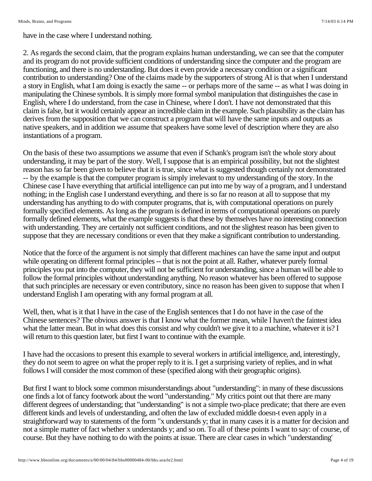have in the case where I understand nothing.

2. As regards the second claim, that the program explains human understanding, we can see that the computer and its program do not provide sufficient conditions of understanding since the computer and the program are functioning, and there is no understanding. But does it even provide a necessary condition or a significant contribution to understanding? One of the claims made by the supporters of strong AI is that when I understand a story in English, what I am doing is exactly the same -- or perhaps more of the same -- as what I was doing in manipulating the Chinese symbols. It is simply more formal symbol manipulation that distinguishes the case in English, where I do understand, from the case in Chinese, where I don't. I have not demonstrated that this claim is false, but it would certainly appear an incredible claim in the example. Such plausibility as the claim has derives from the supposition that we can construct a program that will have the same inputs and outputs as native speakers, and in addition we assume that speakers have some level of description where they are also instantiations of a program.

On the basis of these two assumptions we assume that even if Schank's program isn't the whole story about understanding, it may be part of the story. Well, I suppose that is an empirical possibility, but not the slightest reason has so far been given to believe that it is true, since what is suggested though certainly not demonstrated -- by the example is that the computer program is simply irrelevant to my understanding of the story. In the Chinese case I have everything that artificial intelligence can put into me by way of a program, and I understand nothing; in the English case I understand everything, and there is so far no reason at all to suppose that my understanding has anything to do with computer programs, that is, with computational operations on purely formally specified elements. As long as the program is defined in terms of computational operations on purely formally defined elements, what the example suggests is that these by themselves have no interesting connection with understanding. They are certainly not sufficient conditions, and not the slightest reason has been given to suppose that they are necessary conditions or even that they make a significant contribution to understanding.

Notice that the force of the argument is not simply that different machines can have the same input and output while operating on different formal principles -- that is not the point at all. Rather, whatever purely formal principles you put into the computer, they will not be sufficient for understanding, since a human will be able to follow the formal principles without understanding anything. No reason whatever has been offered to suppose that such principles are necessary or even contributory, since no reason has been given to suppose that when I understand English I am operating with any formal program at all.

Well, then, what is it that I have in the case of the English sentences that I do not have in the case of the Chinese sentences? The obvious answer is that I know what the former mean, while I haven't the faintest idea what the latter mean. But in what does this consist and why couldn't we give it to a machine, whatever it is? I will return to this question later, but first I want to continue with the example.

I have had the occasions to present this example to several workers in artificial intelligence, and, interestingly, they do not seem to agree on what the proper reply to it is. I get a surprising variety of replies, and in what follows I will consider the most common of these (specified along with their geographic origins).

But first I want to block some common misunderstandings about "understanding": in many of these discussions one finds a lot of fancy footwork about the word "understanding." My critics point out that there are many different degrees of understanding; that "understanding" is not a simple two-place predicate; that there are even different kinds and levels of understanding, and often the law of excluded middle doesn-t even apply in a straightforward way to statements of the form "x understands y; that in many cases it is a matter for decision and not a simple matter of fact whether x understands y; and so on. To all of these points I want to say: of course, of course. But they have nothing to do with the points at issue. There are clear cases in which "understanding'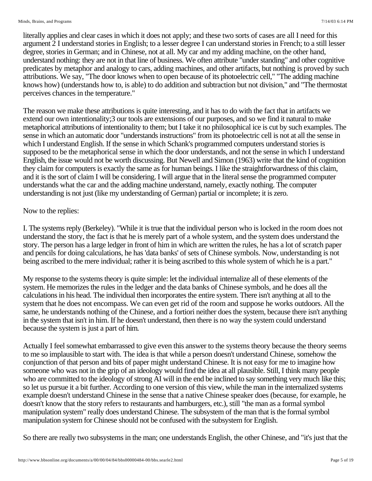literally applies and clear cases in which it does not apply; and these two sorts of cases are all I need for this argument 2 I understand stories in English; to a lesser degree I can understand stories in French; to a still lesser degree, stories in German; and in Chinese, not at all. My car and my adding machine, on the other hand, understand nothing: they are not in that line of business. We often attribute "under standing" and other cognitive predicates by metaphor and analogy to cars, adding machines, and other artifacts, but nothing is proved by such attributions. We say, "The door knows when to open because of its photoelectric cell," "The adding machine knows how) (understands how to, is able) to do addition and subtraction but not division," and "The thermostat perceives chances in the temperature."

The reason we make these attributions is quite interesting, and it has to do with the fact that in artifacts we extend our own intentionality;3 our tools are extensions of our purposes, and so we find it natural to make metaphorical attributions of intentionality to them; but I take it no philosophical ice is cut by such examples. The sense in which an automatic door "understands instructions" from its photoelectric cell is not at all the sense in which I understand English. If the sense in which Schank's programmed computers understand stories is supposed to be the metaphorical sense in which the door understands, and not the sense in which I understand English, the issue would not be worth discussing. But Newell and Simon (1963) write that the kind of cognition they claim for computers is exactly the same as for human beings. I like the straightforwardness of this claim, and it is the sort of claim I will be considering. I will argue that in the literal sense the programmed computer understands what the car and the adding machine understand, namely, exactly nothing. The computer understanding is not just (like my understanding of German) partial or incomplete; it is zero.

#### Now to the replies:

I. The systems reply (Berkeley). "While it is true that the individual person who is locked in the room does not understand the story, the fact is that he is merely part of a whole system, and the system does understand the story. The person has a large ledger in front of him in which are written the rules, he has a lot of scratch paper and pencils for doing calculations, he has 'data banks' of sets of Chinese symbols. Now, understanding is not being ascribed to the mere individual; rather it is being ascribed to this whole system of which he is a part."

My response to the systems theory is quite simple: let the individual internalize all of these elements of the system. He memorizes the rules in the ledger and the data banks of Chinese symbols, and he does all the calculations in his head. The individual then incorporates the entire system. There isn't anything at all to the system that he does not encompass. We can even get rid of the room and suppose he works outdoors. All the same, he understands nothing of the Chinese, and a fortiori neither does the system, because there isn't anything in the system that isn't in him. If he doesn't understand, then there is no way the system could understand because the system is just a part of him.

Actually I feel somewhat embarrassed to give even this answer to the systems theory because the theory seems to me so implausible to start with. The idea is that while a person doesn't understand Chinese, somehow the conjunction of that person and bits of paper might understand Chinese. It is not easy for me to imagine how someone who was not in the grip of an ideology would find the idea at all plausible. Still, I think many people who are committed to the ideology of strong AI will in the end be inclined to say something very much like this; so let us pursue it a bit further. According to one version of this view, while the man in the internalized systems example doesn't understand Chinese in the sense that a native Chinese speaker does (because, for example, he doesn't know that the story refers to restaurants and hamburgers, etc.), still "the man as a formal symbol manipulation system" really does understand Chinese. The subsystem of the man that is the formal symbol manipulation system for Chinese should not be confused with the subsystem for English.

So there are really two subsystems in the man; one understands English, the other Chinese, and "it's just that the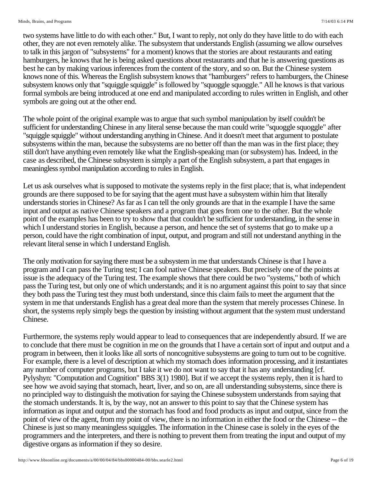two systems have little to do with each other." But, I want to reply, not only do they have little to do with each other, they are not even remotely alike. The subsystem that understands English (assuming we allow ourselves to talk in this jargon of "subsystems" for a moment) knows that the stories are about restaurants and eating hamburgers, he knows that he is being asked questions about restaurants and that he is answering questions as best he can by making various inferences from the content of the story, and so on. But the Chinese system knows none of this. Whereas the English subsystem knows that "hamburgers" refers to hamburgers, the Chinese subsystem knows only that "squiggle squiggle" is followed by "squoggle squoggle." All he knows is that various formal symbols are being introduced at one end and manipulated according to rules written in English, and other symbols are going out at the other end.

The whole point of the original example was to argue that such symbol manipulation by itself couldn't be sufficient for understanding Chinese in any literal sense because the man could write "squoggle squoggle" after "squiggle squiggle" without understanding anything in Chinese. And it doesn't meet that argument to postulate subsystems within the man, because the subsystems are no better off than the man was in the first place; they still don't have anything even remotely like what the English-speaking man (or subsystem) has. Indeed, in the case as described, the Chinese subsystem is simply a part of the English subsystem, a part that engages in meaningless symbol manipulation according to rules in English.

Let us ask ourselves what is supposed to motivate the systems reply in the first place; that is, what independent grounds are there supposed to be for saying that the agent must have a subsystem within him that literally understands stories in Chinese? As far as I can tell the only grounds are that in the example I have the same input and output as native Chinese speakers and a program that goes from one to the other. But the whole point of the examples has been to try to show that that couldn't be sufficient for understanding, in the sense in which I understand stories in English, because a person, and hence the set of systems that go to make up a person, could have the right combination of input, output, and program and still not understand anything in the relevant literal sense in which I understand English.

The only motivation for saying there must be a subsystem in me that understands Chinese is that I have a program and I can pass the Turing test; I can fool native Chinese speakers. But precisely one of the points at issue is the adequacy of the Turing test. The example shows that there could be two "systems," both of which pass the Turing test, but only one of which understands; and it is no argument against this point to say that since they both pass the Turing test they must both understand, since this claim fails to meet the argument that the system in me that understands English has a great deal more than the system that merely processes Chinese. In short, the systems reply simply begs the question by insisting without argument that the system must understand Chinese.

Furthermore, the systems reply would appear to lead to consequences that are independently absurd. If we are to conclude that there must be cognition in me on the grounds that I have a certain sort of input and output and a program in between, then it looks like all sorts of noncognitive subsystems are going to turn out to be cognitive. For example, there is a level of description at which my stomach does information processing, and it instantiates any number of computer programs, but I take it we do not want to say that it has any understanding [cf. Pylyshyn: "Computation and Cognition" BBS 3(1) 1980]. But if we accept the systems reply, then it is hard to see how we avoid saying that stomach, heart, liver, and so on, are all understanding subsystems, since there is no principled way to distinguish the motivation for saying the Chinese subsystem understands from saying that the stomach understands. It is, by the way, not an answer to this point to say that the Chinese system has information as input and output and the stomach has food and food products as input and output, since from the point of view of the agent, from my point of view, there is no information in either the food or the Chinese -- the Chinese is just so many meaningless squiggles. The information in the Chinese case is solely in the eyes of the programmers and the interpreters, and there is nothing to prevent them from treating the input and output of my digestive organs as information if they so desire.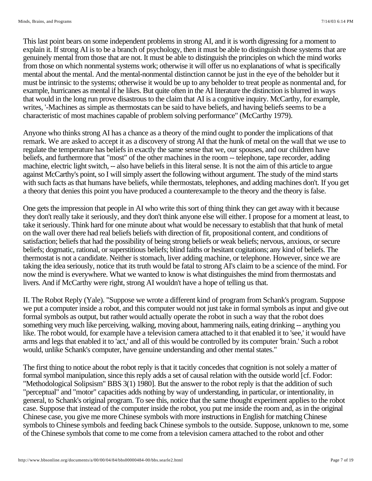This last point bears on some independent problems in strong AI, and it is worth digressing for a moment to explain it. If strong AI is to be a branch of psychology, then it must be able to distinguish those systems that are genuinely mental from those that are not. It must be able to distinguish the principles on which the mind works from those on which nonmental systems work; otherwise it will offer us no explanations of what is specifically mental about the mental. And the mental-nonmental distinction cannot be just in the eye of the beholder but it must be intrinsic to the systems; otherwise it would be up to any beholder to treat people as nonmental and, for example, hurricanes as mental if he likes. But quite often in the AI literature the distinction is blurred in ways that would in the long run prove disastrous to the claim that AI is a cognitive inquiry. McCarthy, for example, writes, '-Machines as simple as thermostats can be said to have beliefs, and having beliefs seems to be a characteristic of most machines capable of problem solving performance" (McCarthy 1979).

Anyone who thinks strong AI has a chance as a theory of the mind ought to ponder the implications of that remark. We are asked to accept it as a discovery of strong AI that the hunk of metal on the wall that we use to regulate the temperature has beliefs in exactly the same sense that we, our spouses, and our children have beliefs, and furthermore that "most" of the other machines in the room -- telephone, tape recorder, adding machine, electric light switch, -- also have beliefs in this literal sense. It is not the aim of this article to argue against McCarthy's point, so I will simply assert the following without argument. The study of the mind starts with such facts as that humans have beliefs, while thermostats, telephones, and adding machines don't. If you get a theory that denies this point you have produced a counterexample to the theory and the theory is false.

One gets the impression that people in AI who write this sort of thing think they can get away with it because they don't really take it seriously, and they don't think anyone else will either. I propose for a moment at least, to take it seriously. Think hard for one minute about what would be necessary to establish that that hunk of metal on the wall over there had real beliefs beliefs with direction of fit, propositional content, and conditions of satisfaction; beliefs that had the possibility of being strong beliefs or weak beliefs; nervous, anxious, or secure beliefs; dogmatic, rational, or superstitious beliefs; blind faiths or hesitant cogitations; any kind of beliefs. The thermostat is not a candidate. Neither is stomach, liver adding machine, or telephone. However, since we are taking the idea seriously, notice that its truth would be fatal to strong AI's claim to be a science of the mind. For now the mind is everywhere. What we wanted to know is what distinguishes the mind from thermostats and livers. And if McCarthy were right, strong AI wouldn't have a hope of telling us that.

II. The Robot Reply (Yale). "Suppose we wrote a different kind of program from Schank's program. Suppose we put a computer inside a robot, and this computer would not just take in formal symbols as input and give out formal symbols as output, but rather would actually operate the robot in such a way that the robot does something very much like perceiving, walking, moving about, hammering nails, eating drinking -- anything you like. The robot would, for example have a television camera attached to it that enabled it to 'see,' it would have arms and legs that enabled it to 'act,' and all of this would be controlled by its computer 'brain.' Such a robot would, unlike Schank's computer, have genuine understanding and other mental states."

The first thing to notice about the robot reply is that it tacitly concedes that cognition is not solely a matter of formal symbol manipulation, since this reply adds a set of causal relation with the outside world [cf. Fodor: "Methodological Solipsism" BBS 3(1) 1980]. But the answer to the robot reply is that the addition of such "perceptual" and "motor" capacities adds nothing by way of understanding, in particular, or intentionality, in general, to Schank's original program. To see this, notice that the same thought experiment applies to the robot case. Suppose that instead of the computer inside the robot, you put me inside the room and, as in the original Chinese case, you give me more Chinese symbols with more instructions in English for matching Chinese symbols to Chinese symbols and feeding back Chinese symbols to the outside. Suppose, unknown to me, some of the Chinese symbols that come to me come from a television camera attached to the robot and other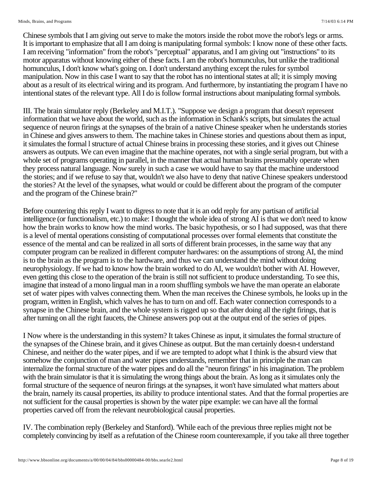Chinese symbols that I am giving out serve to make the motors inside the robot move the robot's legs or arms. It is important to emphasize that all I am doing is manipulating formal symbols: I know none of these other facts. I am receiving "information" from the robot's "perceptual" apparatus, and I am giving out "instructions" to its motor apparatus without knowing either of these facts. I am the robot's homunculus, but unlike the traditional homunculus, I don't know what's going on. I don't understand anything except the rules for symbol manipulation. Now in this case I want to say that the robot has no intentional states at all; it is simply moving about as a result of its electrical wiring and its program. And furthermore, by instantiating the program I have no intentional states of the relevant type. All I do is follow formal instructions about manipulating formal symbols.

III. The brain simulator reply (Berkeley and M.I.T.). "Suppose we design a program that doesn't represent information that we have about the world, such as the information in Schank's scripts, but simulates the actual sequence of neuron firings at the synapses of the brain of a native Chinese speaker when he understands stories in Chinese and gives answers to them. The machine takes in Chinese stories and questions about them as input, it simulates the formal l structure of actual Chinese brains in processing these stories, and it gives out Chinese answers as outputs. We can even imagine that the machine operates, not with a single serial program, but with a whole set of programs operating in parallel, in the manner that actual human brains presumably operate when they process natural language. Now surely in such a case we would have to say that the machine understood the stories; and if we refuse to say that, wouldn't we also have to deny that native Chinese speakers understood the stories? At the level of the synapses, what would or could be different about the program of the computer and the program of the Chinese brain?"

Before countering this reply I want to digress to note that it is an odd reply for any partisan of artificial intelligence (or functionalism, etc.) to make: I thought the whole idea of strong AI is that we don't need to know how the brain works to know how the mind works. The basic hypothesis, or so I had supposed, was that there is a level of mental operations consisting of computational processes over formal elements that constitute the essence of the mental and can be realized in all sorts of different brain processes, in the same way that any computer program can be realized in different computer hardwares: on the assumptions of strong AI, the mind is to the brain as the program is to the hardware, and thus we can understand the mind without doing neurophysiology. If we had to know how the brain worked to do AI, we wouldn't bother with AI. However, even getting this close to the operation of the brain is still not sufficient to produce understanding. To see this, imagine that instead of a mono lingual man in a room shuffling symbols we have the man operate an elaborate set of water pipes with valves connecting them. When the man receives the Chinese symbols, he looks up in the program, written in English, which valves he has to turn on and off. Each water connection corresponds to a synapse in the Chinese brain, and the whole system is rigged up so that after doing all the right firings, that is after turning on all the right faucets, the Chinese answers pop out at the output end of the series of pipes.

I Now where is the understanding in this system? It takes Chinese as input, it simulates the formal structure of the synapses of the Chinese brain, and it gives Chinese as output. But the man certainly doesn-t understand Chinese, and neither do the water pipes, and if we are tempted to adopt what I think is the absurd view that somehow the conjunction of man and water pipes understands, remember that in principle the man can internalize the formal structure of the water pipes and do all the "neuron firings" in his imagination. The problem with the brain simulator is that it is simulating the wrong things about the brain. As long as it simulates only the formal structure of the sequence of neuron firings at the synapses, it won't have simulated what matters about the brain, namely its causal properties, its ability to produce intentional states. And that the formal properties are not sufficient for the causal properties is shown by the water pipe example: we can have all the formal properties carved off from the relevant neurobiological causal properties.

IV. The combination reply (Berkeley and Stanford). 'While each of the previous three replies might not be completely convincing by itself as a refutation of the Chinese room counterexample, if you take all three together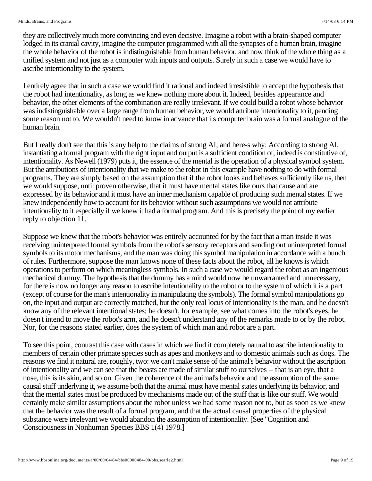they are collectively much more convincing and even decisive. Imagine a robot with a brain-shaped computer lodged in its cranial cavity, imagine the computer programmed with all the synapses of a human brain, imagine the whole behavior of the robot is indistinguishable from human behavior, and now think of the whole thing as a unified system and not just as a computer with inputs and outputs. Surely in such a case we would have to ascribe intentionality to the system. '

I entirely agree that in such a case we would find it rational and indeed irresistible to accept the hypothesis that the robot had intentionality, as long as we knew nothing more about it. Indeed, besides appearance and behavior, the other elements of the combination are really irrelevant. If we could build a robot whose behavior was indistinguishable over a large range from human behavior, we would attribute intentionality to it, pending some reason not to. We wouldn't need to know in advance that its computer brain was a formal analogue of the human brain.

But I really don't see that this is any help to the claims of strong AI; and here-s why: According to strong AI, instantiating a formal program with the right input and output is a sufficient condition of, indeed is constitutive of, intentionality. As Newell (1979) puts it, the essence of the mental is the operation of a physical symbol system. But the attributions of intentionality that we make to the robot in this example have nothing to do with formal programs. They are simply based on the assumption that if the robot looks and behaves sufficiently like us, then we would suppose, until proven otherwise, that it must have mental states like ours that cause and are expressed by its behavior and it must have an inner mechanism capable of producing such mental states. If we knew independently how to account for its behavior without such assumptions we would not attribute intentionality to it especially if we knew it had a formal program. And this is precisely the point of my earlier reply to objection 11.

Suppose we knew that the robot's behavior was entirely accounted for by the fact that a man inside it was receiving uninterpreted formal symbols from the robot's sensory receptors and sending out uninterpreted formal symbols to its motor mechanisms, and the man was doing this symbol manipulation in accordance with a bunch of rules. Furthermore, suppose the man knows none of these facts about the robot, all he knows is which operations to perform on which meaningless symbols. In such a case we would regard the robot as an ingenious mechanical dummy. The hypothesis that the dummy has a mind would now be unwarranted and unnecessary, for there is now no longer any reason to ascribe intentionality to the robot or to the system of which it is a part (except of course for the man's intentionality in manipulating the symbols). The formal symbol manipulations go on, the input and output are correctly matched, but the only real locus of intentionality is the man, and he doesn't know any of the relevant intentional states; he doesn't, for example, see what comes into the robot's eyes, he doesn't intend to move the robot's arm, and he doesn't understand any of the remarks made to or by the robot. Nor, for the reasons stated earlier, does the system of which man and robot are a part.

To see this point, contrast this case with cases in which we find it completely natural to ascribe intentionality to members of certain other primate species such as apes and monkeys and to domestic animals such as dogs. The reasons we find it natural are, roughly, two: we can't make sense of the animal's behavior without the ascription of intentionality and we can see that the beasts are made of similar stuff to ourselves -- that is an eye, that a nose, this is its skin, and so on. Given the coherence of the animal's behavior and the assumption of the same causal stuff underlying it, we assume both that the animal must have mental states underlying its behavior, and that the mental states must be produced by mechanisms made out of the stuff that is like our stuff. We would certainly make similar assumptions about the robot unless we had some reason not to, but as soon as we knew that the behavior was the result of a formal program, and that the actual causal properties of the physical substance were irrelevant we would abandon the assumption of intentionality. [See "Cognition and Consciousness in Nonhuman Species BBS 1(4) 1978.]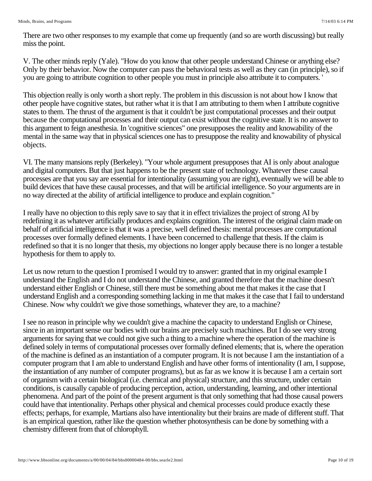There are two other responses to my example that come up frequently (and so are worth discussing) but really miss the point.

V. The other minds reply (Yale). "How do you know that other people understand Chinese or anything else? Only by their behavior. Now the computer can pass the behavioral tests as well as they can (in principle), so if you are going to attribute cognition to other people you must in principle also attribute it to computers. '

This objection really is only worth a short reply. The problem in this discussion is not about how I know that other people have cognitive states, but rather what it is that I am attributing to them when I attribute cognitive states to them. The thrust of the argument is that it couldn't be just computational processes and their output because the computational processes and their output can exist without the cognitive state. It is no answer to this argument to feign anesthesia. In 'cognitive sciences" one presupposes the reality and knowability of the mental in the same way that in physical sciences one has to presuppose the reality and knowability of physical objects.

VI. The many mansions reply (Berkeley). "Your whole argument presupposes that AI is only about analogue and digital computers. But that just happens to be the present state of technology. Whatever these causal processes are that you say are essential for intentionality (assuming you are right), eventually we will be able to build devices that have these causal processes, and that will be artificial intelligence. So your arguments are in no way directed at the ability of artificial intelligence to produce and explain cognition."

I really have no objection to this reply save to say that it in effect trivializes the project of strong AI by redefining it as whatever artificially produces and explains cognition. The interest of the original claim made on behalf of artificial intelligence is that it was a precise, well defined thesis: mental processes are computational processes over formally defined elements. I have been concerned to challenge that thesis. If the claim is redefined so that it is no longer that thesis, my objections no longer apply because there is no longer a testable hypothesis for them to apply to.

Let us now return to the question I promised I would try to answer: granted that in my original example I understand the English and I do not understand the Chinese, and granted therefore that the machine doesn't understand either English or Chinese, still there must be something about me that makes it the case that I understand English and a corresponding something lacking in me that makes it the case that I fail to understand Chinese. Now why couldn't we give those somethings, whatever they are, to a machine?

I see no reason in principle why we couldn't give a machine the capacity to understand English or Chinese, since in an important sense our bodies with our brains are precisely such machines. But I do see very strong arguments for saying that we could not give such a thing to a machine where the operation of the machine is defined solely in terms of computational processes over formally defined elements; that is, where the operation of the machine is defined as an instantiation of a computer program. It is not because I am the instantiation of a computer program that I am able to understand English and have other forms of intentionality (I am, I suppose, the instantiation of any number of computer programs), but as far as we know it is because I am a certain sort of organism with a certain biological (i.e. chemical and physical) structure, and this structure, under certain conditions, is causally capable of producing perception, action, understanding, learning, and other intentional phenomena. And part of the point of the present argument is that only something that had those causal powers could have that intentionality. Perhaps other physical and chemical processes could produce exactly these effects; perhaps, for example, Martians also have intentionality but their brains are made of different stuff. That is an empirical question, rather like the question whether photosynthesis can be done by something with a chemistry different from that of chlorophyll.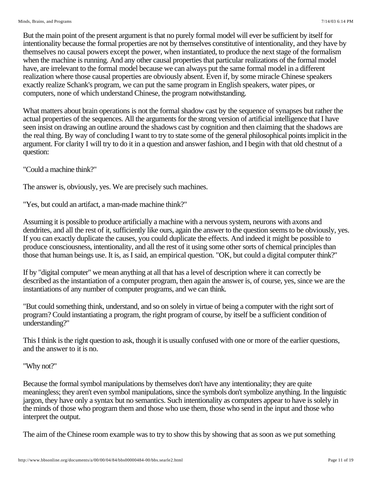But the main point of the present argument is that no purely formal model will ever be sufficient by itself for intentionality because the formal properties are not by themselves constitutive of intentionality, and they have by themselves no causal powers except the power, when instantiated, to produce the next stage of the formalism when the machine is running. And any other causal properties that particular realizations of the formal model have, are irrelevant to the formal model because we can always put the same formal model in a different realization where those causal properties are obviously absent. Even if, by some miracle Chinese speakers exactly realize Schank's program, we can put the same program in English speakers, water pipes, or computers, none of which understand Chinese, the program notwithstanding.

What matters about brain operations is not the formal shadow cast by the sequence of synapses but rather the actual properties of the sequences. All the arguments for the strong version of artificial intelligence that I have seen insist on drawing an outline around the shadows cast by cognition and then claiming that the shadows are the real thing. By way of concluding I want to try to state some of the general philosophical points implicit in the argument. For clarity I will try to do it in a question and answer fashion, and I begin with that old chestnut of a question:

"Could a machine think?"

The answer is, obviously, yes. We are precisely such machines.

"Yes, but could an artifact, a man-made machine think?"

Assuming it is possible to produce artificially a machine with a nervous system, neurons with axons and dendrites, and all the rest of it, sufficiently like ours, again the answer to the question seems to be obviously, yes. If you can exactly duplicate the causes, you could duplicate the effects. And indeed it might be possible to produce consciousness, intentionality, and all the rest of it using some other sorts of chemical principles than those that human beings use. It is, as I said, an empirical question. "OK, but could a digital computer think?"

If by "digital computer" we mean anything at all that has a level of description where it can correctly be described as the instantiation of a computer program, then again the answer is, of course, yes, since we are the instantiations of any number of computer programs, and we can think.

"But could something think, understand, and so on solely in virtue of being a computer with the right sort of program? Could instantiating a program, the right program of course, by itself be a sufficient condition of understanding?"

This I think is the right question to ask, though it is usually confused with one or more of the earlier questions, and the answer to it is no.

#### "Why not?"

Because the formal symbol manipulations by themselves don't have any intentionality; they are quite meaningless; they aren't even symbol manipulations, since the symbols don't symbolize anything. In the linguistic jargon, they have only a syntax but no semantics. Such intentionality as computers appear to have is solely in the minds of those who program them and those who use them, those who send in the input and those who interpret the output.

The aim of the Chinese room example was to try to show this by showing that as soon as we put something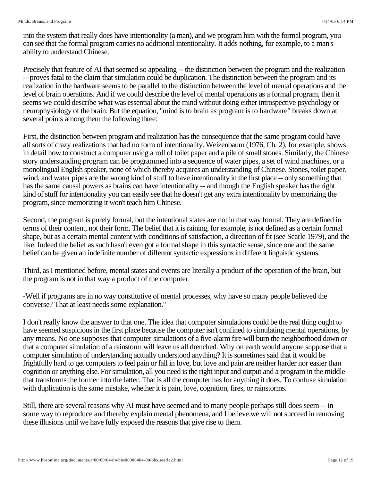into the system that really does have intentionality (a man), and we program him with the formal program, you can see that the formal program carries no additional intentionality. It adds nothing, for example, to a man's ability to understand Chinese.

Precisely that feature of AI that seemed so appealing -- the distinction between the program and the realization -- proves fatal to the claim that simulation could be duplication. The distinction between the program and its realization in the hardware seems to be parallel to the distinction between the level of mental operations and the level of brain operations. And if we could describe the level of mental operations as a formal program, then it seems we could describe what was essential about the mind without doing either introspective psychology or neurophysiology of the brain. But the equation, "mind is to brain as program is to hardware" breaks down at several points among them the following three:

First, the distinction between program and realization has the consequence that the same program could have all sorts of crazy realizations that had no form of intentionality. Weizenbaum (1976, Ch. 2), for example, shows in detail how to construct a computer using a roll of toilet paper and a pile of small stones. Similarly, the Chinese story understanding program can be programmed into a sequence of water pipes, a set of wind machines, or a monolingual English speaker, none of which thereby acquires an understanding of Chinese. Stones, toilet paper, wind, and water pipes are the wrong kind of stuff to have intentionality in the first place -- only something that has the same causal powers as brains can have intentionality -- and though the English speaker has the right kind of stuff for intentionality you can easily see that he doesn't get any extra intentionality by memorizing the program, since memorizing it won't teach him Chinese.

Second, the program is purely formal, but the intentional states are not in that way formal. They are defined in terms of their content, not their form. The belief that it is raining, for example, is not defined as a certain formal shape, but as a certain mental content with conditions of satisfaction, a direction of fit (see Searle 1979), and the like. Indeed the belief as such hasn't even got a formal shape in this syntactic sense, since one and the same belief can be given an indefinite number of different syntactic expressions in different linguistic systems.

Third, as I mentioned before, mental states and events are literally a product of the operation of the brain, but the program is not in that way a product of the computer.

-Well if programs are in no way constitutive of mental processes, why have so many people believed the converse? That at least needs some explanation."

I don't really know the answer to that one. The idea that computer simulations could be the real thing ought to have seemed suspicious in the first place because the computer isn't confined to simulating mental operations, by any means. No one supposes that computer simulations of a five-alarm fire will burn the neighborhood down or that a computer simulation of a rainstorm will leave us all drenched. Why on earth would anyone suppose that a computer simulation of understanding actually understood anything? It is sometimes said that it would be frightfully hard to get computers to feel pain or fall in love, but love and pain are neither harder nor easier than cognition or anything else. For simulation, all you need is the right input and output and a program in the middle that transforms the former into the latter. That is all the computer has for anything it does. To confuse simulation with duplication is the same mistake, whether it is pain, love, cognition, fires, or rainstorms.

Still, there are several reasons why AI must have seemed and to many people perhaps still does seem -- in some way to reproduce and thereby explain mental phenomena, and I believe.we will not succeed in removing these illusions until we have fully exposed the reasons that give rise to them.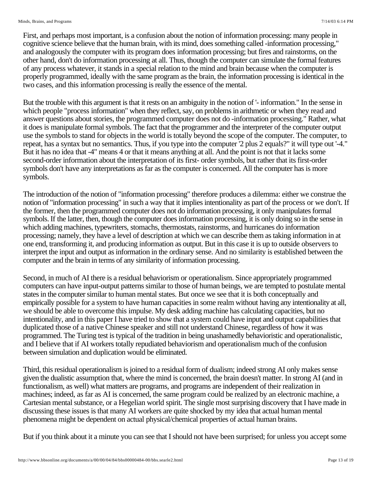First, and perhaps most important, is a confusion about the notion of information processing: many people in cognitive science believe that the human brain, with its mind, does something called -information processing," and analogously the computer with its program does information processing; but fires and rainstorms, on the other hand, don't do information processing at all. Thus, though the computer can simulate the formal features of any process whatever, it stands in a special relation to the mind and brain because when the computer is properly programmed, ideally with the same program as the brain, the information processing is identical in the two cases, and this information processing is really the essence of the mental.

But the trouble with this argument is that it rests on an ambiguity in the notion of '- information." In the sense in which people "process information" when they reflect, say, on problems in arithmetic or when they read and answer questions about stories, the programmed computer does not do -information processing." Rather, what it does is manipulate formal symbols. The fact that the programmer and the interpreter of the computer output use the symbols to stand for objects in the world is totally beyond the scope of the computer. The computer, to repeat, has a syntax but no semantics. Thus, if you type into the computer '2 plus 2 equals?" it will type out '-4." But it has no idea that -4" means 4 or that it means anything at all. And the point is not that it lacks some second-order information about the interpretation of its first- order symbols, but rather that its first-order symbols don't have any interpretations as far as the computer is concerned. All the computer has is more symbols.

The introduction of the notion of "information processing" therefore produces a dilemma: either we construe the notion of "information processing" in such a way that it implies intentionality as part of the process or we don't. If the former, then the programmed computer does not do information processing, it only manipulates formal symbols. If the latter, then, though the computer does information processing, it is only doing so in the sense in which adding machines, typewriters, stomachs, thermostats, rainstorms, and hurricanes do information processing; namely, they have a level of description at which we can describe them as taking information in at one end, transforming it, and producing information as output. But in this case it is up to outside observers to interpret the input and output as information in the ordinary sense. And no similarity is established between the computer and the brain in terms of any similarity of information processing.

Second, in much of AI there is a residual behaviorism or operationalism. Since appropriately programmed computers can have input-output patterns similar to those of human beings, we are tempted to postulate mental states in the computer similar to human mental states. But once we see that it is both conceptually and empirically possible for a system to have human capacities in some realm without having any intentionality at all, we should be able to overcome this impulse. My desk adding machine has calculating capacities, but no intentionality, and in this paper I have tried to show that a system could have input and output capabilities that duplicated those of a native Chinese speaker and still not understand Chinese, regardless of how it was programmed. The Turing test is typical of the tradition in being unashamedly behavioristic and operationalistic, and I believe that if AI workers totally repudiated behaviorism and operationalism much of the confusion between simulation and duplication would be eliminated.

Third, this residual operationalism is joined to a residual form of dualism; indeed strong AI only makes sense given the dualistic assumption that, where the mind is concerned, the brain doesn't matter. In strong AI (and in functionalism, as well) what matters are programs, and programs are independent of their realization in machines; indeed, as far as AI is concerned, the same program could be realized by an electronic machine, a Cartesian mental substance, or a Hegelian world spirit. The single most surprising discovery that I have made in discussing these issues is that many AI workers are quite shocked by my idea that actual human mental phenomena might be dependent on actual physical/chemical properties of actual human brains.

But if you think about it a minute you can see that I should not have been surprised; for unless you accept some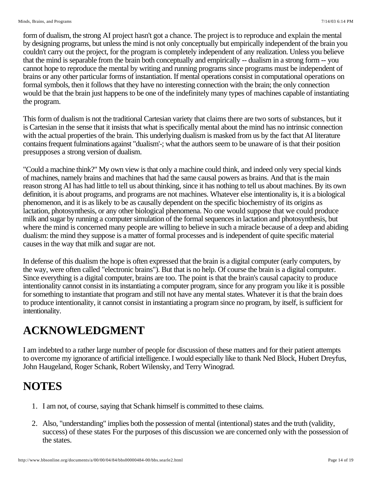form of dualism, the strong AI project hasn't got a chance. The project is to reproduce and explain the mental by designing programs, but unless the mind is not only conceptually but empirically independent of the brain you couldn't carry out the project, for the program is completely independent of any realization. Unless you believe that the mind is separable from the brain both conceptually and empirically -- dualism in a strong form -- you cannot hope to reproduce the mental by writing and running programs since programs must be independent of brains or any other particular forms of instantiation. If mental operations consist in computational operations on formal symbols, then it follows that they have no interesting connection with the brain; the only connection would be that the brain just happens to be one of the indefinitely many types of machines capable of instantiating the program.

This form of dualism is not the traditional Cartesian variety that claims there are two sorts of substances, but it is Cartesian in the sense that it insists that what is specifically mental about the mind has no intrinsic connection with the actual properties of the brain. This underlying dualism is masked from us by the fact that AI literature contains frequent fulminations against "dualism'-; what the authors seem to be unaware of is that their position presupposes a strong version of dualism.

"Could a machine think?" My own view is that only a machine could think, and indeed only very special kinds of machines, namely brains and machines that had the same causal powers as brains. And that is the main reason strong AI has had little to tell us about thinking, since it has nothing to tell us about machines. By its own definition, it is about programs, and programs are not machines. Whatever else intentionality is, it is a biological phenomenon, and it is as likely to be as causally dependent on the specific biochemistry of its origins as lactation, photosynthesis, or any other biological phenomena. No one would suppose that we could produce milk and sugar by running a computer simulation of the formal sequences in lactation and photosynthesis, but where the mind is concerned many people are willing to believe in such a miracle because of a deep and abiding dualism: the mind they suppose is a matter of formal processes and is independent of quite specific material causes in the way that milk and sugar are not.

In defense of this dualism the hope is often expressed that the brain is a digital computer (early computers, by the way, were often called "electronic brains"). But that is no help. Of course the brain is a digital computer. Since everything is a digital computer, brains are too. The point is that the brain's causal capacity to produce intentionality cannot consist in its instantiating a computer program, since for any program you like it is possible for something to instantiate that program and still not have any mental states. Whatever it is that the brain does to produce intentionality, it cannot consist in instantiating a program since no program, by itself, is sufficient for intentionality.

# **ACKNOWLEDGMENT**

I am indebted to a rather large number of people for discussion of these matters and for their patient attempts to overcome my ignorance of artificial intelligence. I would especially like to thank Ned Block, Hubert Dreyfus, John Haugeland, Roger Schank, Robert Wilensky, and Terry Winograd.

### **NOTES**

- 1. I am not, of course, saying that Schank himself is committed to these claims.
- 2. Also, "understanding" implies both the possession of mental (intentional) states and the truth (validity, success) of these states For the purposes of this discussion we are concerned only with the possession of the states.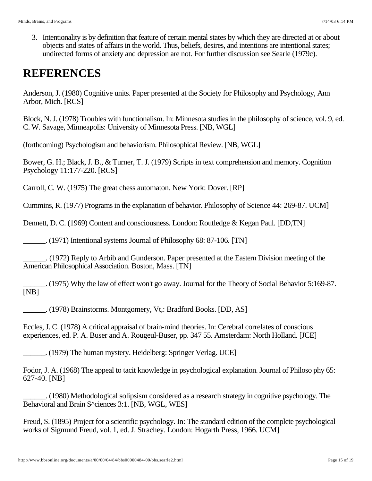3. Intentionality is by definition that feature of certain mental states by which they are directed at or about objects and states of affairs in the world. Thus, beliefs, desires, and intentions are intentional states; undirected forms of anxiety and depression are not. For further discussion see Searle (1979c).

### **REFERENCES**

Anderson, J. (1980) Cognitive units. Paper presented at the Society for Philosophy and Psychology, Ann Arbor, Mich. [RCS]

Block, N. J. (1978) Troubles with functionalism. In: Minnesota studies in the philosophy of science, vol. 9, ed. C. W. Savage, Minneapolis: University of Minnesota Press. [NB, WGL]

(forthcoming) Psychologism and behaviorism. Philosophical Review. [NB, WGL]

Bower, G. H.; Black, J. B., & Turner, T. J. (1979) Scripts in text comprehension and memory. Cognition Psychology 11:177-220. [RCS]

Carroll, C. W. (1975) The great chess automaton. New York: Dover. [RP]

Cummins, R. (1977) Programs in the explanation of behavior. Philosophy of Science 44: 269-87. UCM]

Dennett, D. C. (1969) Content and consciousness. London: Routledge & Kegan Paul. [DD,TN]

\_\_\_\_\_\_. (1971) Intentional systems Journal of Philosophy 68: 87-106. [TN]

\_\_\_\_\_\_. (1972) Reply to Arbib and Gunderson. Paper presented at the Eastern Division meeting of the American Philosophical Association. Boston, Mass. [TN]

\_\_\_\_\_\_. (1975) Why the law of effect won't go away. Journal for the Theory of Social Behavior 5:169-87. [NB]

\_\_\_\_\_\_. (1978) Brainstorms. Montgomery, Vt,: Bradford Books. [DD, AS]

Eccles, J. C. (1978) A critical appraisal of brain-mind theories. In: Cerebral correlates of conscious experiences, ed. P. A. Buser and A. Rougeul-Buser, pp. 347 55. Amsterdam: North Holland. [JCE]

\_\_\_\_\_\_. (1979) The human mystery. Heidelberg: Springer Verlag. UCE]

Fodor, J. A. (1968) The appeal to tacit knowledge in psychological explanation. Journal of Philoso phy 65: 627-40. [NB]

\_\_\_\_\_\_. (1980) Methodological solipsism considered as a research strategy in cognitive psychology. The Behavioral and Brain S^ciences 3:1. [NB, WGL, WES]

Freud, S. (1895) Project for a scientific psychology. In: The standard edition of the complete psychological works of Sigmund Freud, vol. 1, ed. J. Strachey. London: Hogarth Press, 1966. UCM]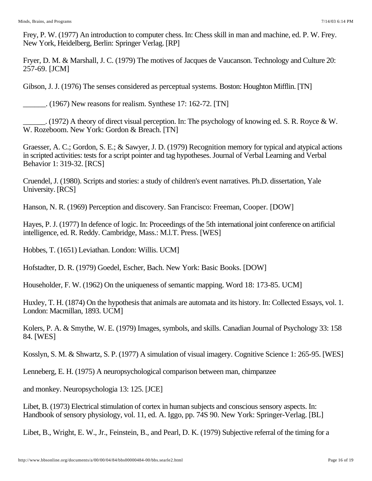Frey, P. W. (1977) An introduction to computer chess. In: Chess skill in man and machine, ed. P. W. Frey. New York, Heidelberg, Berlin: Springer Verlag. [RP]

Fryer, D. M. & Marshall, J. C. (1979) The motives of Jacques de Vaucanson. Technology and Culture 20: 257-69. [JCM]

Gibson, J. J. (1976) The senses considered as perceptual systems. Boston: Houghton Mifflin. [TN]

\_\_\_\_\_\_. (1967) New reasons for realism. Synthese 17: 162-72. [TN]

\_\_\_\_\_\_. (1972) A theory of direct visual perception. In: The psychology of knowing ed. S. R. Royce & W. W. Rozeboom. New York: Gordon & Breach. [TN]

Graesser, A. C.; Gordon, S. E.; & Sawyer, J. D. (1979) Recognition memory for typical and atypical actions in scripted activities: tests for a script pointer and tag hypotheses. Journal of Verbal Learning and Verbal Behavior 1: 319-32. [RCS]

Cruendel, J. (1980). Scripts and stories: a study of children's event narratives. Ph.D. dissertation, Yale University. [RCS]

Hanson, N. R. (1969) Perception and discovery. San Francisco: Freeman, Cooper. [DOW]

Hayes, P. J. (1977) In defence of logic. In: Proceedings of the 5th international joint conference on artificial intelligence, ed. R. Reddy. Cambridge, Mass.: M.l.T. Press. [WES]

Hobbes, T. (1651) Leviathan. London: Willis. UCM]

Hofstadter, D. R. (1979) Goedel, Escher, Bach. New York: Basic Books. [DOW]

Householder, F. W. (1962) On the uniqueness of semantic mapping. Word 18: 173-85. UCM]

Huxley, T. H. (1874) On the hypothesis that animals are automata and its history. In: Collected Essays, vol. 1. London: Macmillan, 1893. UCM]

Kolers, P. A. & Smythe, W. E. (1979) Images, symbols, and skills. Canadian Journal of Psychology 33: 158 84. [WES]

Kosslyn, S. M. & Shwartz, S. P. (1977) A simulation of visual imagery. Cognitive Science 1: 265-95. [WES]

Lenneberg, E. H. (1975) A neuropsychological comparison between man, chimpanzee

and monkey. Neuropsychologia 13: 125. [JCE]

Libet, B. (1973) Electrical stimulation of cortex in human subjects and conscious sensory aspects. In: Handbook of sensory physiology, vol. 11, ed. A. Iggo, pp. 74S 90. New York: Springer-Verlag. [BL]

Libet, B., Wright, E. W., Jr., Feinstein, B., and Pearl, D. K. (1979) Subjective referral of the timing for a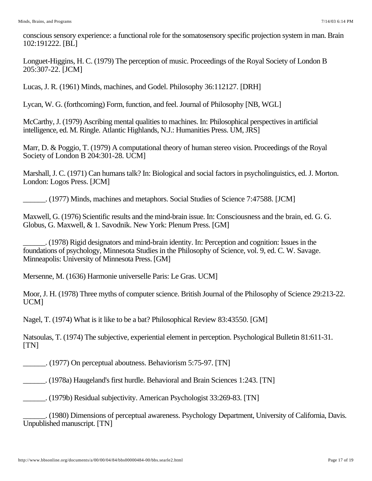conscious sensory experience: a functional role for the somatosensory specific projection system in man. Brain 102:191222. [BL]

Longuet-Higgins, H. C. (1979) The perception of music. Proceedings of the Royal Society of London B 205:307-22. [JCM]

Lucas, J. R. (1961) Minds, machines, and Godel. Philosophy 36:112127. [DRH]

Lycan, W. G. (forthcoming) Form, function, and feel. Journal of Philosophy [NB, WGL]

McCarthy, J. (1979) Ascribing mental qualities to machines. In: Philosophical perspectives in artificial intelligence, ed. M. Ringle. Atlantic Highlands, N.J.: Humanities Press. UM, JRS]

Marr, D. & Poggio, T. (1979) A computational theory of human stereo vision. Proceedings of the Royal Society of London B 204:301-28. UCM]

Marshall, J. C. (1971) Can humans talk? In: Biological and social factors in psycholinguistics, ed. J. Morton. London: Logos Press. [JCM]

\_\_\_\_\_\_. (1977) Minds, machines and metaphors. Social Studies of Science 7:47588. [JCM]

Maxwell, G. (1976) Scientific results and the mind-brain issue. In: Consciousness and the brain, ed. G. G. Globus, G. Maxwell, & 1. Savodnik. New York: Plenum Press. [GM]

\_\_\_\_\_\_. (1978) Rigid designators and mind-brain identity. In: Perception and cognition: Issues in the foundations of psychology, Minnesota Studies in the Philosophy of Science, vol. 9, ed. C. W. Savage. Minneapolis: University of Minnesota Press. [GM]

Mersenne, M. (1636) Harmonie universelle Paris: Le Gras. UCM]

Moor, J. H. (1978) Three myths of computer science. British Journal of the Philosophy of Science 29:213-22. UCM]

Nagel, T. (1974) What is it like to be a bat? Philosophical Review 83:43550. [GM]

Natsoulas, T. (1974) The subjective, experiential element in perception. Psychological Bulletin 81:611-31. [TN]

\_\_\_\_\_\_. (1977) On perceptual aboutness. Behaviorism 5:75-97. [TN]

\_\_\_\_\_\_. (1978a) Haugeland's first hurdle. Behavioral and Brain Sciences 1:243. [TN]

\_\_\_\_\_\_. (1979b) Residual subjectivity. American Psychologist 33:269-83. [TN]

\_\_\_\_\_\_. (1980) Dimensions of perceptual awareness. Psychology Department, University of California, Davis. Unpublished manuscript. [TN]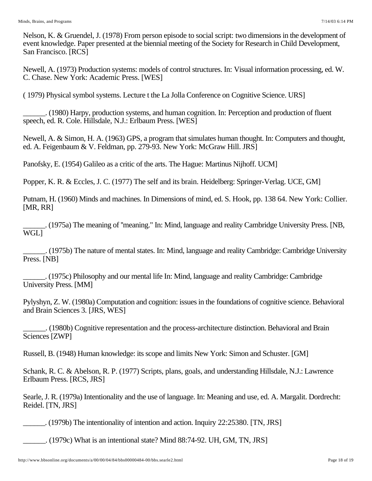Nelson, K. & Gruendel, J. (1978) From person episode to social script: two dimensions in the development of event knowledge. Paper presented at the biennial meeting of the Society for Research in Child Development, San Francisco. [RCS]

Newell, A. (1973) Production systems: models of control structures. In: Visual information processing, ed. W. C. Chase. New York: Academic Press. [WES]

( 1979) Physical symbol systems. Lecture t the La Jolla Conference on Cognitive Science. URS]

\_\_\_\_\_\_. (1980) Harpy, production systems, and human cognition. In: Perception and production of fluent speech, ed. R. Cole. Hillsdale, N.J.: Erlbaum Press. [WES]

Newell, A. & Simon, H. A. (1963) GPS, a program that simulates human thought. In: Computers and thought, ed. A. Feigenbaum & V. Feldman, pp. 279-93. New York: McGraw Hill. JRS]

Panofsky, E. (1954) Galileo as a critic of the arts. The Hague: Martinus Nijhoff. UCM]

Popper, K. R. & Eccles, J. C. (1977) The self and its brain. Heidelberg: Springer-Verlag. UCE, GM]

Putnam, H. (1960) Minds and machines. In Dimensions of mind, ed. S. Hook, pp. 138 64. New York: Collier. [MR, RR]

\_\_\_\_\_\_. (1975a) The meaning of ''meaning." In: Mind, language and reality Cambridge University Press. [NB, WGL<sub>1</sub>

\_\_\_\_\_\_. (1975b) The nature of mental states. In: Mind, language and reality Cambridge: Cambridge University Press. [NB]

\_\_\_\_\_\_. (1975c) Philosophy and our mental life In: Mind, language and reality Cambridge: Cambridge University Press. [MM]

Pylyshyn, Z. W. (1980a) Computation and cognition: issues in the foundations of cognitive science. Behavioral and Brain Sciences 3. [JRS, WES]

\_\_\_\_\_\_. (1980b) Cognitive representation and the process-architecture distinction. Behavioral and Brain Sciences [ZWP]

Russell, B. (1948) Human knowledge: its scope and limits New York: Simon and Schuster. [GM]

Schank, R. C. & Abelson, R. P. (1977) Scripts, plans, goals, and understanding Hillsdale, N.J.: Lawrence Erlbaum Press. [RCS, JRS]

Searle, J. R. (1979a) Intentionality and the use of language. In: Meaning and use, ed. A. Margalit. Dordrecht: Reidel. [TN, JRS]

\_\_\_\_\_\_. (1979b) The intentionality of intention and action. Inquiry 22:25380. [TN, JRS]

\_\_\_\_\_\_. (1979c) What is an intentional state? Mind 88:74-92. UH, GM, TN, JRS]